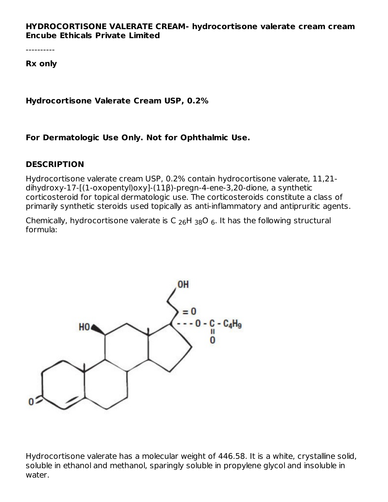#### **HYDROCORTISONE VALERATE CREAM- hydrocortisone valerate cream cream Encube Ethicals Private Limited**

----------

**Rx only**

**Hydrocortisone Valerate Cream USP, 0.2%**

**For Dermatologic Use Only. Not for Ophthalmic Use.**

#### **DESCRIPTION**

Hydrocortisone valerate cream USP, 0.2% contain hydrocortisone valerate, 11,21 dihydroxy-17-[(1-oxopentyl)oxy]-(11β)-pregn-4-ene-3,20-dione, a synthetic corticosteroid for topical dermatologic use. The corticosteroids constitute a class of primarily synthetic steroids used topically as anti-inflammatory and antipruritic agents.

Chemically, hydrocortisone valerate is C  $_{26}$ H  $_{38}$ O  $_{6}$ . It has the following structural formula:



Hydrocortisone valerate has a molecular weight of 446.58. It is a white, crystalline solid, soluble in ethanol and methanol, sparingly soluble in propylene glycol and insoluble in water.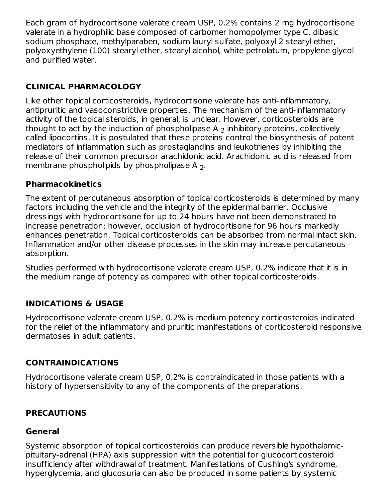Each gram of hydrocortisone valerate cream USP, 0.2% contains 2 mg hydrocortisone valerate in a hydrophilic base composed of carbomer homopolymer type C, dibasic sodium phosphate, methylparaben, sodium lauryl sulfate, polyoxyl 2 stearyl ether, polyoxyethylene (100) stearyl ether, stearyl alcohol, white petrolatum, propylene glycol and purified water.

## **CLINICAL PHARMACOLOGY**

Like other topical corticosteroids, hydrocortisone valerate has anti-inflammatory, antipruritic and vasoconstrictive properties. The mechanism of the anti-inflammatory activity of the topical steroids, in general, is unclear. However, corticosteroids are thought to act by the induction of phospholipase A  $_2$  inhibitory proteins, collectively called lipocortins. It is postulated that these proteins control the biosynthesis of potent mediators of inflammation such as prostaglandins and leukotrienes by inhibiting the release of their common precursor arachidonic acid. Arachidonic acid is released from membrane phospholipids by phospholipase A  $_{2}.$ 

#### **Pharmacokinetics**

The extent of percutaneous absorption of topical corticosteroids is determined by many factors including the vehicle and the integrity of the epidermal barrier. Occlusive dressings with hydrocortisone for up to 24 hours have not been demonstrated to increase penetration; however, occlusion of hydrocortisone for 96 hours markedly enhances penetration. Topical corticosteroids can be absorbed from normal intact skin. Inflammation and/or other disease processes in the skin may increase percutaneous absorption.

Studies performed with hydrocortisone valerate cream USP, 0.2% indicate that it is in the medium range of potency as compared with other topical corticosteroids.

## **INDICATIONS & USAGE**

Hydrocortisone valerate cream USP, 0.2% is medium potency corticosteroids indicated for the relief of the inflammatory and pruritic manifestations of corticosteroid responsive dermatoses in adult patients.

## **CONTRAINDICATIONS**

Hydrocortisone valerate cream USP, 0.2% is contraindicated in those patients with a history of hypersensitivity to any of the components of the preparations.

## **PRECAUTIONS**

## **General**

Systemic absorption of topical corticosteroids can produce reversible hypothalamicpituitary-adrenal (HPA) axis suppression with the potential for glucocorticosteroid insufficiency after withdrawal of treatment. Manifestations of Cushing's syndrome, hyperglycemia, and glucosuria can also be produced in some patients by systemic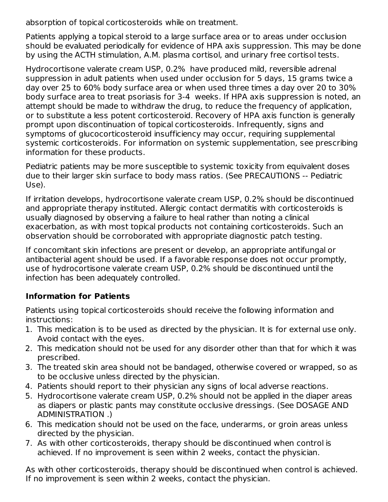absorption of topical corticosteroids while on treatment.

Patients applying a topical steroid to a large surface area or to areas under occlusion should be evaluated periodically for evidence of HPA axis suppression. This may be done by using the ACTH stimulation, A.M. plasma cortisol, and urinary free cortisol tests.

Hydrocortisone valerate cream USP, 0.2% have produced mild, reversible adrenal suppression in adult patients when used under occlusion for 5 days, 15 grams twice a day over 25 to 60% body surface area or when used three times a day over 20 to 30% body surface area to treat psoriasis for 3-4 weeks. If HPA axis suppression is noted, an attempt should be made to withdraw the drug, to reduce the frequency of application, or to substitute a less potent corticosteroid. Recovery of HPA axis function is generally prompt upon discontinuation of topical corticosteroids. Infrequently, signs and symptoms of glucocorticosteroid insufficiency may occur, requiring supplemental systemic corticosteroids. For information on systemic supplementation, see prescribing information for these products.

Pediatric patients may be more susceptible to systemic toxicity from equivalent doses due to their larger skin surface to body mass ratios. (See PRECAUTIONS -- Pediatric Use).

If irritation develops, hydrocortisone valerate cream USP, 0.2% should be discontinued and appropriate therapy instituted. Allergic contact dermatitis with corticosteroids is usually diagnosed by observing a failure to heal rather than noting a clinical exacerbation, as with most topical products not containing corticosteroids. Such an observation should be corroborated with appropriate diagnostic patch testing.

If concomitant skin infections are present or develop, an appropriate antifungal or antibacterial agent should be used. If a favorable response does not occur promptly, use of hydrocortisone valerate cream USP, 0.2% should be discontinued until the infection has been adequately controlled.

## **Information for Patients**

Patients using topical corticosteroids should receive the following information and instructions:

- 1. This medication is to be used as directed by the physician. It is for external use only. Avoid contact with the eyes.
- 2. This medication should not be used for any disorder other than that for which it was prescribed.
- 3. The treated skin area should not be bandaged, otherwise covered or wrapped, so as to be occlusive unless directed by the physician.
- 4. Patients should report to their physician any signs of local adverse reactions.
- 5. Hydrocortisone valerate cream USP, 0.2% should not be applied in the diaper areas as diapers or plastic pants may constitute occlusive dressings. (See DOSAGE AND ADMINISTRATION .)
- 6. This medication should not be used on the face, underarms, or groin areas unless directed by the physician.
- 7. As with other corticosteroids, therapy should be discontinued when control is achieved. If no improvement is seen within 2 weeks, contact the physician.

As with other corticosteroids, therapy should be discontinued when control is achieved. If no improvement is seen within 2 weeks, contact the physician.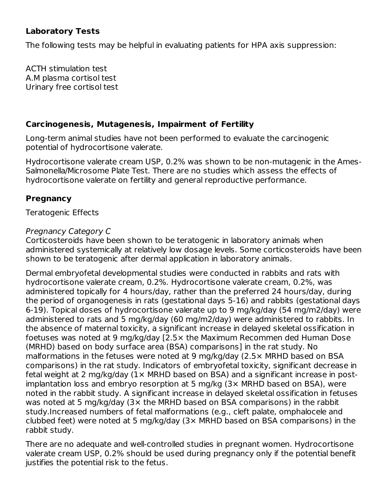#### **Laboratory Tests**

The following tests may be helpful in evaluating patients for HPA axis suppression:

ACTH stimulation test A.M plasma cortisol test Urinary free cortisol test

#### **Carcinogenesis, Mutagenesis, Impairment of Fertility**

Long-term animal studies have not been performed to evaluate the carcinogenic potential of hydrocortisone valerate.

Hydrocortisone valerate cream USP, 0.2% was shown to be non-mutagenic in the Ames-Salmonella/Microsome Plate Test. There are no studies which assess the effects of hydrocortisone valerate on fertility and general reproductive performance.

#### **Pregnancy**

Teratogenic Effects

#### Pregnancy Category C

Corticosteroids have been shown to be teratogenic in laboratory animals when administered systemically at relatively low dosage levels. Some corticosteroids have been shown to be teratogenic after dermal application in laboratory animals.

Dermal embryofetal developmental studies were conducted in rabbits and rats with hydrocortisone valerate cream, 0.2%. Hydrocortisone valerate cream, 0.2%, was administered topically for 4 hours/day, rather than the preferred 24 hours/day, during the period of organogenesis in rats (gestational days 5-16) and rabbits (gestational days 6-19). Topical doses of hydrocortisone valerate up to 9 mg/kg/day (54 mg/m2/day) were administered to rats and 5 mg/kg/day (60 mg/m2/day) were administered to rabbits. In the absence of maternal toxicity, a significant increase in delayed skeletal ossification in foetuses was noted at 9 mg/kg/day [2.5× the Maximum Recommen ded Human Dose (MRHD) based on body surface area (BSA) comparisons] in the rat study. No malformations in the fetuses were noted at 9 mg/kg/day (2.5× MRHD based on BSA comparisons) in the rat study. Indicators of embryofetal toxicity, significant decrease in fetal weight at 2 mg/kg/day (1× MRHD based on BSA) and a significant increase in postimplantation loss and embryo resorption at 5 mg/kg (3× MRHD based on BSA), were noted in the rabbit study. A significant increase in delayed skeletal ossification in fetuses was noted at 5 mg/kg/day (3× the MRHD based on BSA comparisons) in the rabbit study.Increased numbers of fetal malformations (e.g., cleft palate, omphalocele and clubbed feet) were noted at 5 mg/kg/day (3× MRHD based on BSA comparisons) in the rabbit study.

There are no adequate and well-controlled studies in pregnant women. Hydrocortisone valerate cream USP, 0.2% should be used during pregnancy only if the potential benefit justifies the potential risk to the fetus.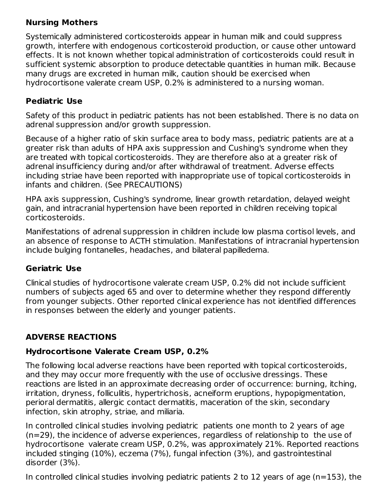## **Nursing Mothers**

Systemically administered corticosteroids appear in human milk and could suppress growth, interfere with endogenous corticosteroid production, or cause other untoward effects. It is not known whether topical administration of corticosteroids could result in sufficient systemic absorption to produce detectable quantities in human milk. Because many drugs are excreted in human milk, caution should be exercised when hydrocortisone valerate cream USP, 0.2% is administered to a nursing woman.

## **Pediatric Use**

Safety of this product in pediatric patients has not been established. There is no data on adrenal suppression and/or growth suppression.

Because of a higher ratio of skin surface area to body mass, pediatric patients are at a greater risk than adults of HPA axis suppression and Cushing's syndrome when they are treated with topical corticosteroids. They are therefore also at a greater risk of adrenal insufficiency during and/or after withdrawal of treatment. Adverse effects including striae have been reported with inappropriate use of topical corticosteroids in infants and children. (See PRECAUTIONS)

HPA axis suppression, Cushing's syndrome, linear growth retardation, delayed weight gain, and intracranial hypertension have been reported in children receiving topical corticosteroids.

Manifestations of adrenal suppression in children include low plasma cortisol levels, and an absence of response to ACTH stimulation. Manifestations of intracranial hypertension include bulging fontanelles, headaches, and bilateral papilledema.

## **Geriatric Use**

Clinical studies of hydrocortisone valerate cream USP, 0.2% did not include sufficient numbers of subjects aged 65 and over to determine whether they respond differently from younger subjects. Other reported clinical experience has not identified differences in responses between the elderly and younger patients.

# **ADVERSE REACTIONS**

## **Hydrocortisone Valerate Cream USP, 0.2%**

The following local adverse reactions have been reported with topical corticosteroids, and they may occur more frequently with the use of occlusive dressings. These reactions are listed in an approximate decreasing order of occurrence: burning, itching, irritation, dryness, folliculitis, hypertrichosis, acneiform eruptions, hypopigmentation, perioral dermatitis, allergic contact dermatitis, maceration of the skin, secondary infection, skin atrophy, striae, and miliaria.

In controlled clinical studies involving pediatric patients one month to 2 years of age (n=29), the incidence of adverse experiences, regardless of relationship to the use of hydrocortisone valerate cream USP, 0.2%, was approximately 21%. Reported reactions included stinging (10%), eczema (7%), fungal infection (3%), and gastrointestinal disorder (3%).

In controlled clinical studies involving pediatric patients 2 to 12 years of age (n=153), the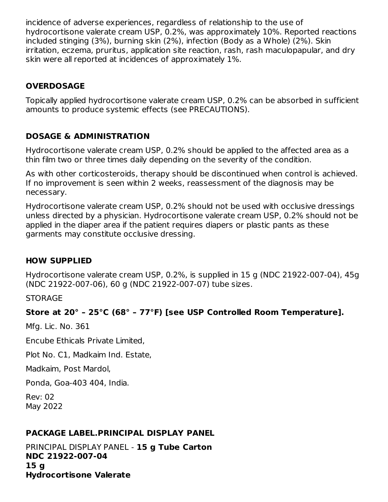incidence of adverse experiences, regardless of relationship to the use of hydrocortisone valerate cream USP, 0.2%, was approximately 10%. Reported reactions included stinging (3%), burning skin (2%), infection (Body as a Whole) (2%). Skin irritation, eczema, pruritus, application site reaction, rash, rash maculopapular, and dry skin were all reported at incidences of approximately 1%.

## **OVERDOSAGE**

Topically applied hydrocortisone valerate cream USP, 0.2% can be absorbed in sufficient amounts to produce systemic effects (see PRECAUTIONS).

#### **DOSAGE & ADMINISTRATION**

Hydrocortisone valerate cream USP, 0.2% should be applied to the affected area as a thin film two or three times daily depending on the severity of the condition.

As with other corticosteroids, therapy should be discontinued when control is achieved. If no improvement is seen within 2 weeks, reassessment of the diagnosis may be necessary.

Hydrocortisone valerate cream USP, 0.2% should not be used with occlusive dressings unless directed by a physician. Hydrocortisone valerate cream USP, 0.2% should not be applied in the diaper area if the patient requires diapers or plastic pants as these garments may constitute occlusive dressing.

#### **HOW SUPPLIED**

Hydrocortisone valerate cream USP, 0.2%, is supplied in 15 g (NDC 21922-007-04), 45g (NDC 21922-007-06), 60 g (NDC 21922-007-07) tube sizes.

**STORAGE** 

## **Store at 20° – 25°C (68° – 77°F) [see USP Controlled Room Temperature].**

Mfg. Lic. No. 361

Encube Ethicals Private Limited,

Plot No. C1, Madkaim Ind. Estate,

Madkaim, Post Mardol,

Ponda, Goa-403 404, India.

Rev: 02 May 2022

## **PACKAGE LABEL.PRINCIPAL DISPLAY PANEL**

PRINCIPAL DISPLAY PANEL - **15 g Tube Carton NDC 21922-007-04 15 g Hydrocortisone Valerate**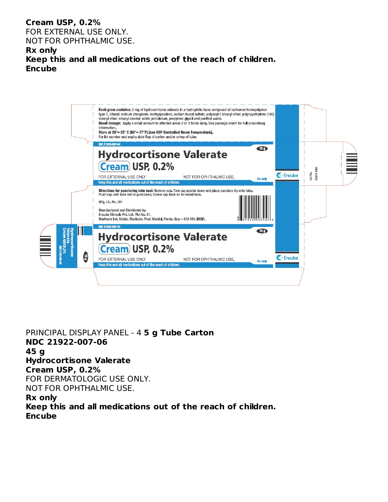#### **Cream USP, 0.2%**

FOR EXTERNAL USE ONLY. NOT FOR OPHTHALMIC USE.

#### **Rx only**

**Keep this and all medications out of the reach of children. Encube**



PRINCIPAL DISPLAY PANEL - 4 **5 g Tube Carton NDC 21922-007-06 45 g Hydrocortisone Valerate Cream USP, 0.2%** FOR DERMATOLOGIC USE ONLY. NOT FOR OPHTHALMIC USE. **Rx only Keep this and all medications out of the reach of children. Encube**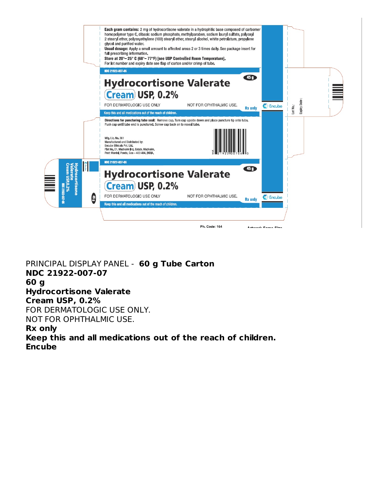

PRINCIPAL DISPLAY PANEL - **60 g Tube Carton NDC 21922-007-07 60 g Hydrocortisone Valerate Cream USP, 0.2%** FOR DERMATOLOGIC USE ONLY. NOT FOR OPHTHALMIC USE. **Rx only**

**Keep this and all medications out of the reach of children. Encube**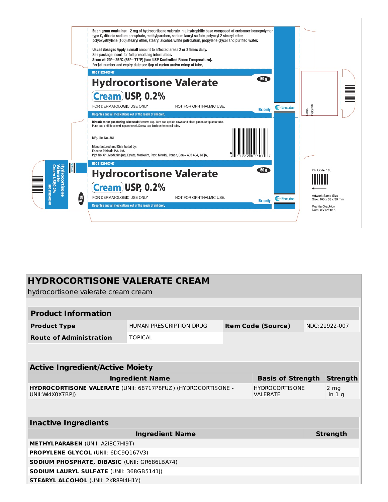

| <b>HYDROCORTISONE VALERATE CREAM</b><br>hydrocortisone valerate cream cream             |                                           |                                           |  |                 |                            |  |
|-----------------------------------------------------------------------------------------|-------------------------------------------|-------------------------------------------|--|-----------------|----------------------------|--|
|                                                                                         |                                           |                                           |  |                 |                            |  |
| <b>Product Information</b>                                                              |                                           |                                           |  |                 |                            |  |
| <b>Product Type</b>                                                                     | HUMAN PRESCRIPTION DRUG                   | <b>Item Code (Source)</b>                 |  |                 | NDC:21922-007              |  |
| <b>Route of Administration</b>                                                          | <b>TOPICAL</b>                            |                                           |  |                 |                            |  |
|                                                                                         |                                           |                                           |  |                 |                            |  |
| <b>Active Ingredient/Active Moiety</b>                                                  |                                           |                                           |  |                 |                            |  |
| <b>Ingredient Name</b><br><b>Basis of Strength</b>                                      |                                           |                                           |  |                 | <b>Strength</b>            |  |
| <b>HYDROCORTISONE VALERATE (UNII: 68717P8FUZ) (HYDROCORTISONE -</b><br>UNII: W4X0X7BPI) |                                           | <b>HYDROCORTISONE</b><br><b>VAI FRATF</b> |  |                 | 2 <sub>mg</sub><br>in $1q$ |  |
|                                                                                         |                                           |                                           |  |                 |                            |  |
| <b>Inactive Ingredients</b>                                                             |                                           |                                           |  |                 |                            |  |
| <b>Ingredient Name</b>                                                                  |                                           |                                           |  | <b>Strength</b> |                            |  |
| <b>METHYLPARABEN (UNII: A2I8C7HI9T)</b>                                                 |                                           |                                           |  |                 |                            |  |
| <b>PROPYLENE GLYCOL (UNII: 6DC9Q167V3)</b>                                              |                                           |                                           |  |                 |                            |  |
| <b>SODIUM PHOSPHATE, DIBASIC (UNII: GR686LBA74)</b>                                     |                                           |                                           |  |                 |                            |  |
| <b>SODIUM LAURYL SULFATE (UNII: 368GB5141))</b>                                         |                                           |                                           |  |                 |                            |  |
|                                                                                         | <b>STEARYL ALCOHOL (UNII: 2KR89I4H1Y)</b> |                                           |  |                 |                            |  |